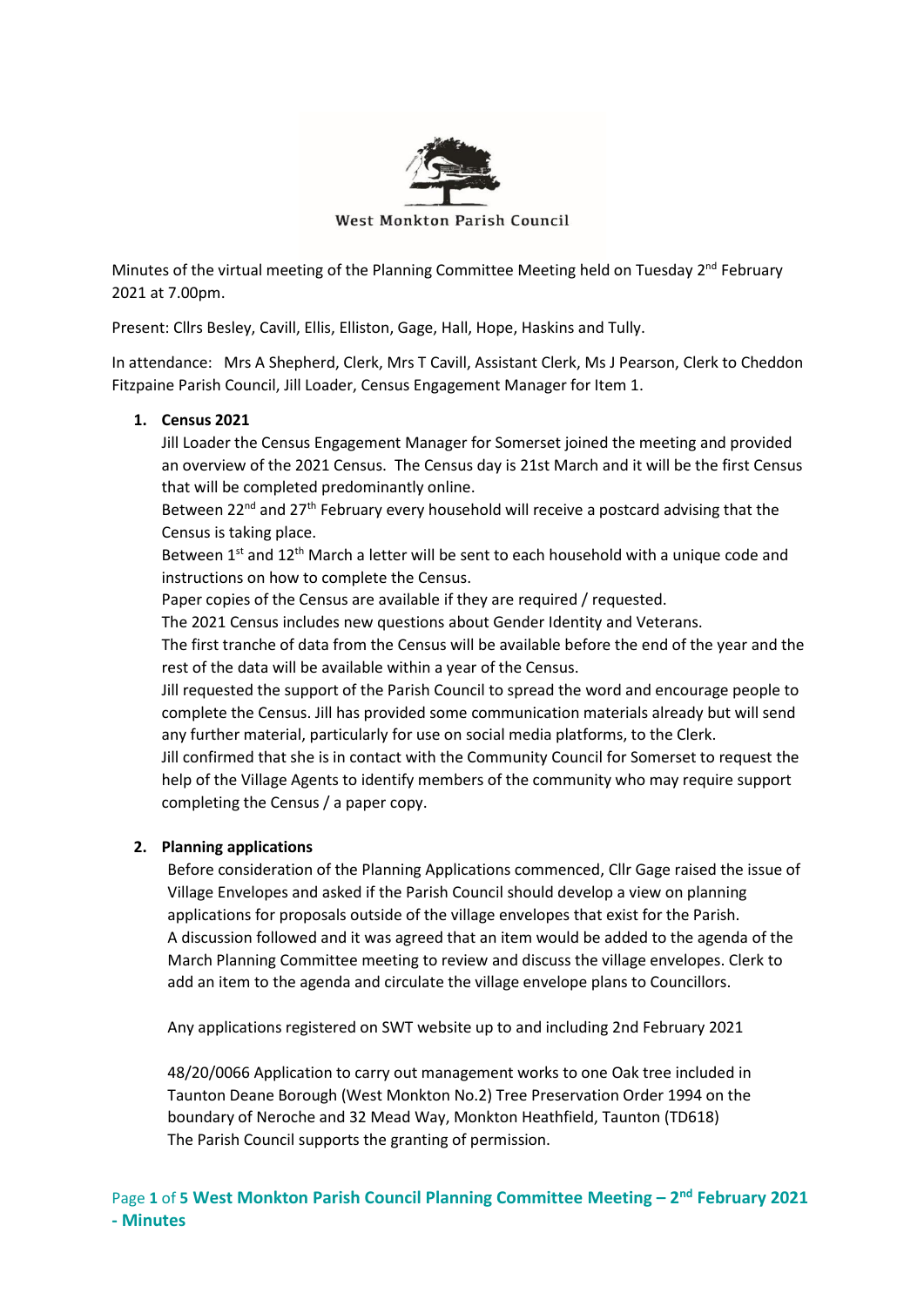

West Monkton Parish Council

Minutes of the virtual meeting of the Planning Committee Meeting held on Tuesday 2<sup>nd</sup> February 2021 at 7.00pm.

Present: Cllrs Besley, Cavill, Ellis, Elliston, Gage, Hall, Hope, Haskins and Tully.

In attendance: Mrs A Shepherd, Clerk, Mrs T Cavill, Assistant Clerk, Ms J Pearson, Clerk to Cheddon Fitzpaine Parish Council, Jill Loader, Census Engagement Manager for Item 1.

# **1. Census 2021**

Jill Loader the Census Engagement Manager for Somerset joined the meeting and provided an overview of the 2021 Census. The Census day is 21st March and it will be the first Census that will be completed predominantly online.

Between 22<sup>nd</sup> and 27<sup>th</sup> February every household will receive a postcard advising that the Census is taking place.

Between  $1^{st}$  and  $12^{th}$  March a letter will be sent to each household with a unique code and instructions on how to complete the Census.

Paper copies of the Census are available if they are required / requested.

The 2021 Census includes new questions about Gender Identity and Veterans.

The first tranche of data from the Census will be available before the end of the year and the rest of the data will be available within a year of the Census.

Jill requested the support of the Parish Council to spread the word and encourage people to complete the Census. Jill has provided some communication materials already but will send any further material, particularly for use on social media platforms, to the Clerk.

Jill confirmed that she is in contact with the Community Council for Somerset to request the help of the Village Agents to identify members of the community who may require support completing the Census / a paper copy.

# **2. Planning applications**

Before consideration of the Planning Applications commenced, Cllr Gage raised the issue of Village Envelopes and asked if the Parish Council should develop a view on planning applications for proposals outside of the village envelopes that exist for the Parish. A discussion followed and it was agreed that an item would be added to the agenda of the March Planning Committee meeting to review and discuss the village envelopes. Clerk to add an item to the agenda and circulate the village envelope plans to Councillors.

Any applications registered on SWT website up to and including 2nd February 2021

48/20/0066 Application to carry out management works to one Oak tree included in Taunton Deane Borough (West Monkton No.2) Tree Preservation Order 1994 on the boundary of Neroche and 32 Mead Way, Monkton Heathfield, Taunton (TD618) The Parish Council supports the granting of permission.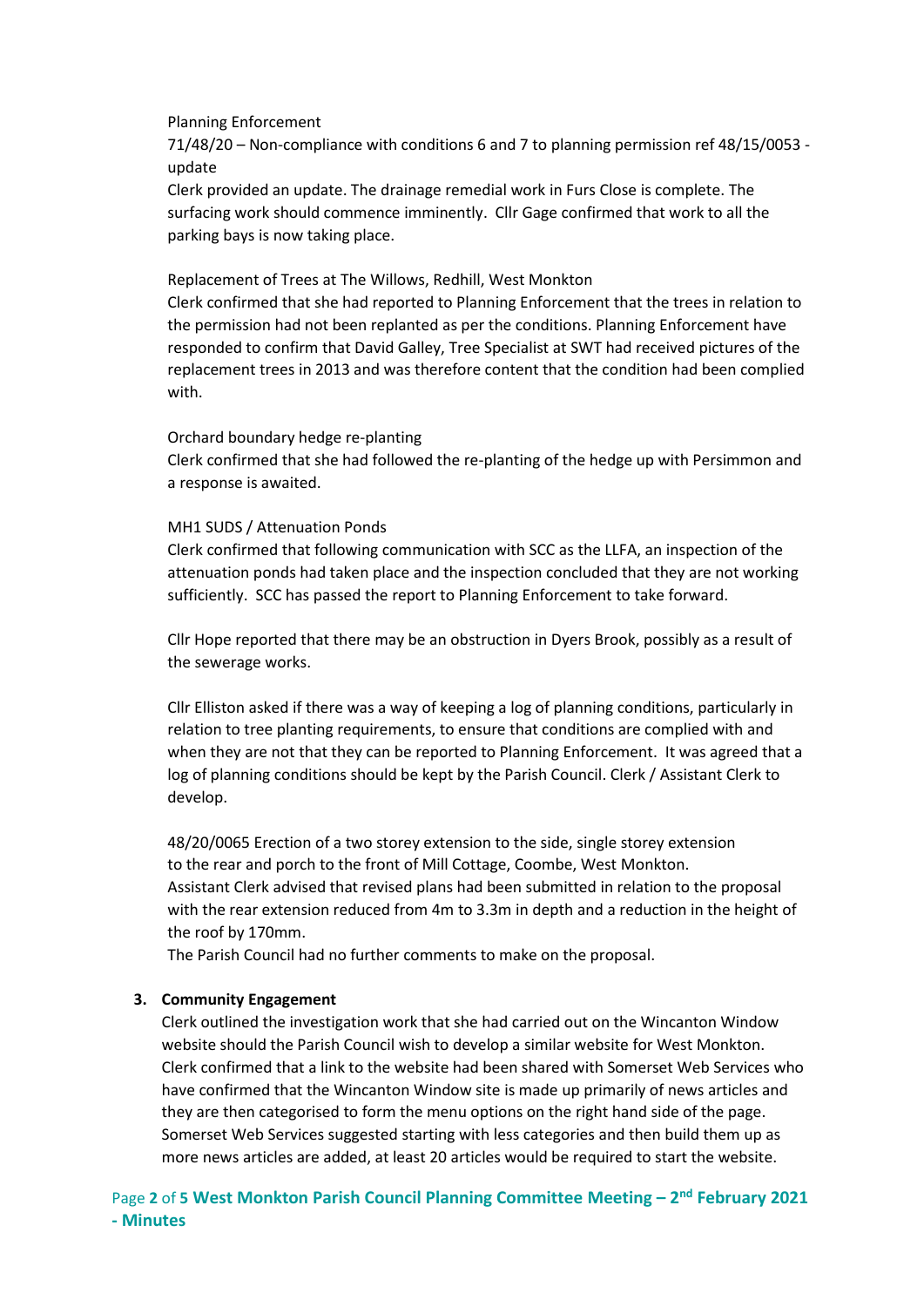Planning Enforcement

71/48/20 – Non-compliance with conditions 6 and 7 to planning permission ref 48/15/0053 update

Clerk provided an update. The drainage remedial work in Furs Close is complete. The surfacing work should commence imminently. Cllr Gage confirmed that work to all the parking bays is now taking place.

Replacement of Trees at The Willows, Redhill, West Monkton

Clerk confirmed that she had reported to Planning Enforcement that the trees in relation to the permission had not been replanted as per the conditions. Planning Enforcement have responded to confirm that David Galley, Tree Specialist at SWT had received pictures of the replacement trees in 2013 and was therefore content that the condition had been complied with.

#### Orchard boundary hedge re-planting

Clerk confirmed that she had followed the re-planting of the hedge up with Persimmon and a response is awaited.

#### MH1 SUDS / Attenuation Ponds

Clerk confirmed that following communication with SCC as the LLFA, an inspection of the attenuation ponds had taken place and the inspection concluded that they are not working sufficiently. SCC has passed the report to Planning Enforcement to take forward.

Cllr Hope reported that there may be an obstruction in Dyers Brook, possibly as a result of the sewerage works.

Cllr Elliston asked if there was a way of keeping a log of planning conditions, particularly in relation to tree planting requirements, to ensure that conditions are complied with and when they are not that they can be reported to Planning Enforcement. It was agreed that a log of planning conditions should be kept by the Parish Council. Clerk / Assistant Clerk to develop.

48/20/0065 Erection of a two storey extension to the side, single storey extension to the rear and porch to the front of Mill Cottage, Coombe, West Monkton. Assistant Clerk advised that revised plans had been submitted in relation to the proposal with the rear extension reduced from 4m to 3.3m in depth and a reduction in the height of the roof by 170mm.

The Parish Council had no further comments to make on the proposal.

## **3. Community Engagement**

Clerk outlined the investigation work that she had carried out on the Wincanton Window website should the Parish Council wish to develop a similar website for West Monkton. Clerk confirmed that a link to the website had been shared with Somerset Web Services who have confirmed that the Wincanton Window site is made up primarily of news articles and they are then categorised to form the menu options on the right hand side of the page. Somerset Web Services suggested starting with less categories and then build them up as more news articles are added, at least 20 articles would be required to start the website.

Page 2 of 5 West Monkton Parish Council Planning Committee Meeting - 2<sup>nd</sup> February 2021 **- Minutes**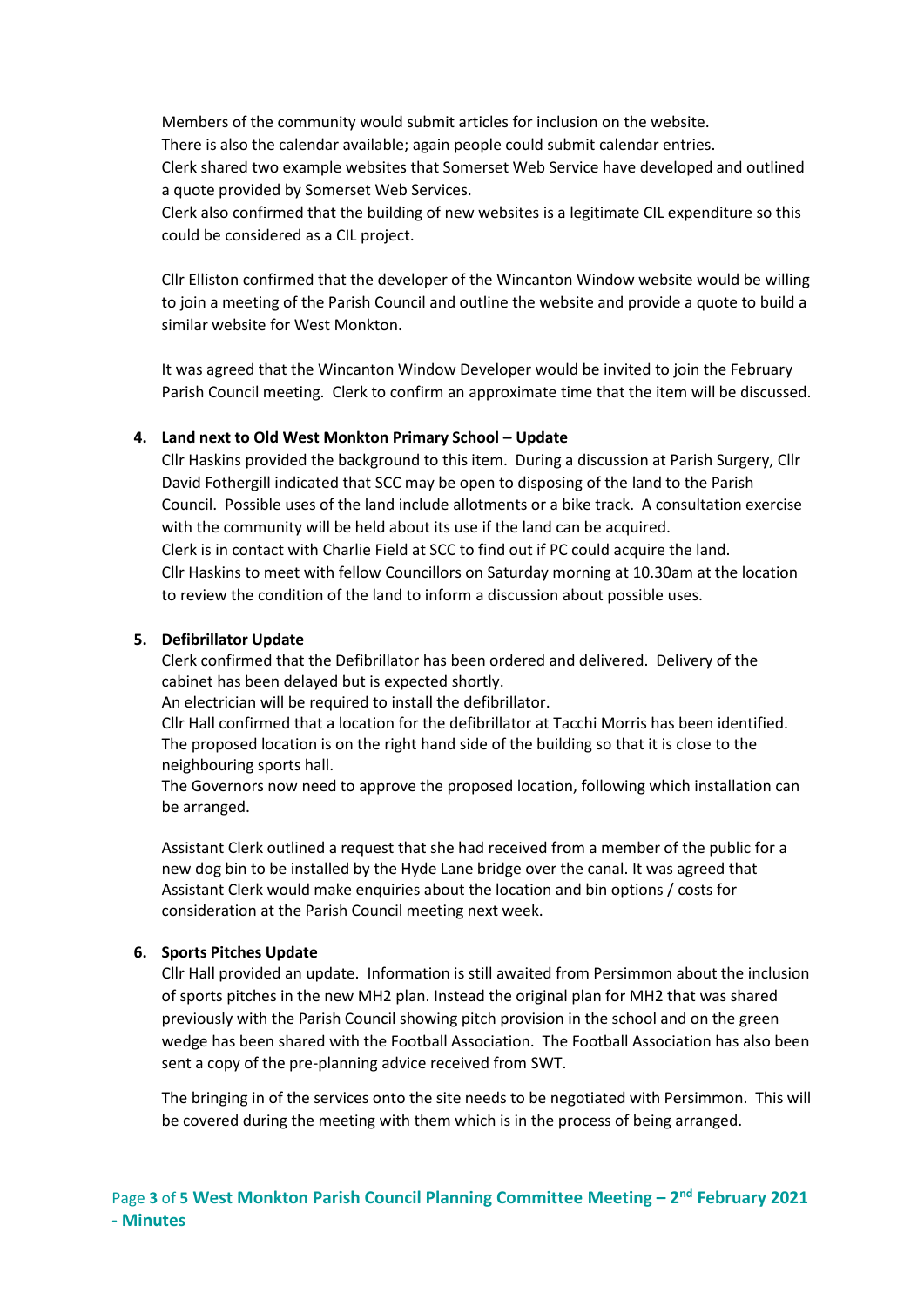Members of the community would submit articles for inclusion on the website. There is also the calendar available; again people could submit calendar entries. Clerk shared two example websites that Somerset Web Service have developed and outlined a quote provided by Somerset Web Services.

Clerk also confirmed that the building of new websites is a legitimate CIL expenditure so this could be considered as a CIL project.

Cllr Elliston confirmed that the developer of the Wincanton Window website would be willing to join a meeting of the Parish Council and outline the website and provide a quote to build a similar website for West Monkton.

It was agreed that the Wincanton Window Developer would be invited to join the February Parish Council meeting. Clerk to confirm an approximate time that the item will be discussed.

#### **4. Land next to Old West Monkton Primary School – Update**

Cllr Haskins provided the background to this item. During a discussion at Parish Surgery, Cllr David Fothergill indicated that SCC may be open to disposing of the land to the Parish Council. Possible uses of the land include allotments or a bike track. A consultation exercise with the community will be held about its use if the land can be acquired. Clerk is in contact with Charlie Field at SCC to find out if PC could acquire the land. Cllr Haskins to meet with fellow Councillors on Saturday morning at 10.30am at the location to review the condition of the land to inform a discussion about possible uses.

### **5. Defibrillator Update**

Clerk confirmed that the Defibrillator has been ordered and delivered. Delivery of the cabinet has been delayed but is expected shortly.

An electrician will be required to install the defibrillator.

Cllr Hall confirmed that a location for the defibrillator at Tacchi Morris has been identified. The proposed location is on the right hand side of the building so that it is close to the neighbouring sports hall.

The Governors now need to approve the proposed location, following which installation can be arranged.

Assistant Clerk outlined a request that she had received from a member of the public for a new dog bin to be installed by the Hyde Lane bridge over the canal. It was agreed that Assistant Clerk would make enquiries about the location and bin options / costs for consideration at the Parish Council meeting next week.

#### **6. Sports Pitches Update**

Cllr Hall provided an update. Information is still awaited from Persimmon about the inclusion of sports pitches in the new MH2 plan. Instead the original plan for MH2 that was shared previously with the Parish Council showing pitch provision in the school and on the green wedge has been shared with the Football Association. The Football Association has also been sent a copy of the pre-planning advice received from SWT.

The bringing in of the services onto the site needs to be negotiated with Persimmon. This will be covered during the meeting with them which is in the process of being arranged.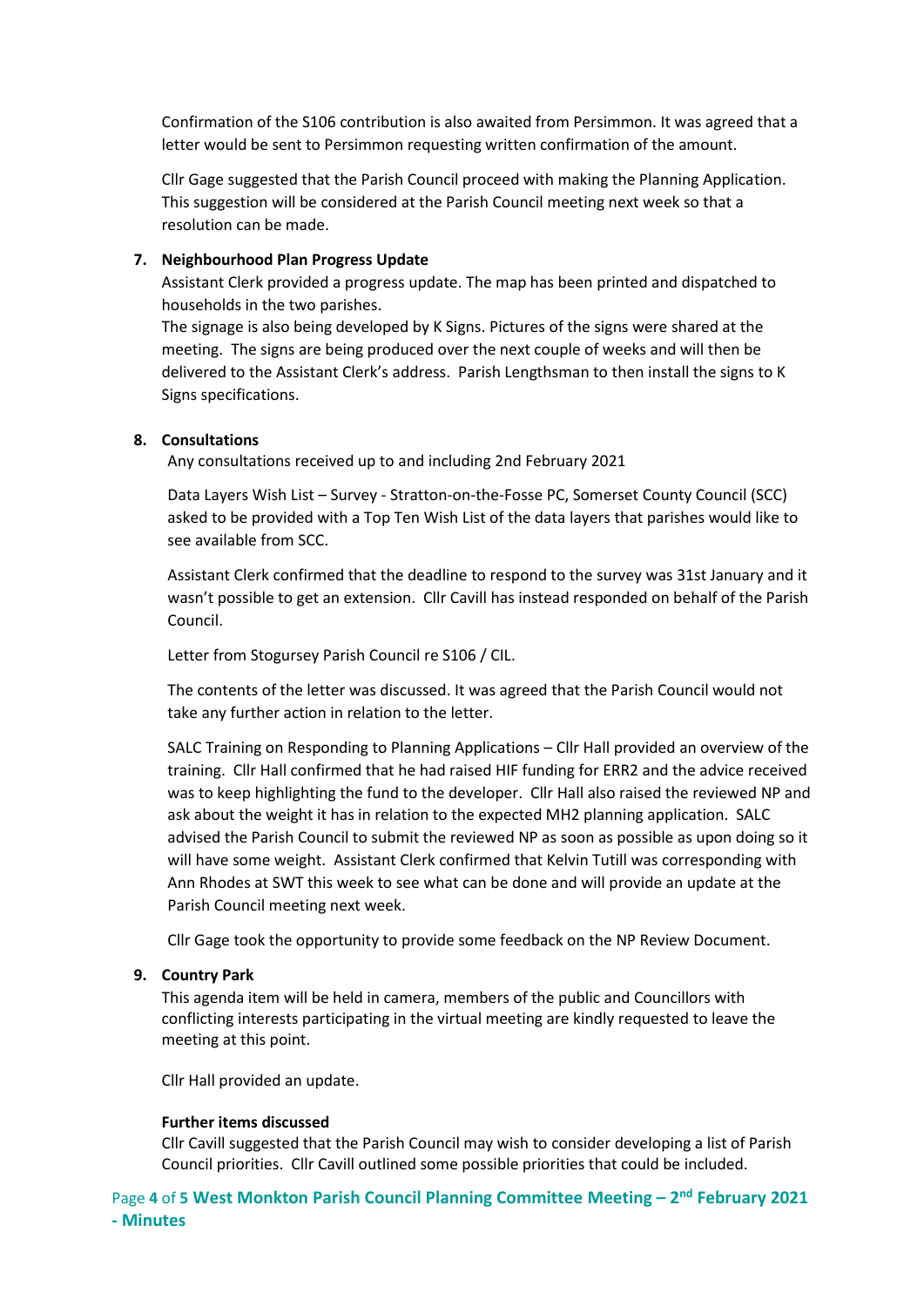Confirmation of the S106 contribution is also awaited from Persimmon. It was agreed that a letter would be sent to Persimmon requesting written confirmation of the amount.

Cllr Gage suggested that the Parish Council proceed with making the Planning Application. This suggestion will be considered at the Parish Council meeting next week so that a resolution can be made.

## **7. Neighbourhood Plan Progress Update**

Assistant Clerk provided a progress update. The map has been printed and dispatched to households in the two parishes.

The signage is also being developed by K Signs. Pictures of the signs were shared at the meeting. The signs are being produced over the next couple of weeks and will then be delivered to the Assistant Clerk's address. Parish Lengthsman to then install the signs to K Signs specifications.

## **8. Consultations**

Any consultations received up to and including 2nd February 2021

Data Layers Wish List – Survey - Stratton-on-the-Fosse PC, Somerset County Council (SCC) asked to be provided with a Top Ten Wish List of the data layers that parishes would like to see available from SCC.

Assistant Clerk confirmed that the deadline to respond to the survey was 31st January and it wasn't possible to get an extension. Cllr Cavill has instead responded on behalf of the Parish Council.

Letter from Stogursey Parish Council re S106 / CIL.

The contents of the letter was discussed. It was agreed that the Parish Council would not take any further action in relation to the letter.

SALC Training on Responding to Planning Applications – Cllr Hall provided an overview of the training. Cllr Hall confirmed that he had raised HIF funding for ERR2 and the advice received was to keep highlighting the fund to the developer. Cllr Hall also raised the reviewed NP and ask about the weight it has in relation to the expected MH2 planning application. SALC advised the Parish Council to submit the reviewed NP as soon as possible as upon doing so it will have some weight. Assistant Clerk confirmed that Kelvin Tutill was corresponding with Ann Rhodes at SWT this week to see what can be done and will provide an update at the Parish Council meeting next week.

Cllr Gage took the opportunity to provide some feedback on the NP Review Document.

## **9. Country Park**

This agenda item will be held in camera, members of the public and Councillors with conflicting interests participating in the virtual meeting are kindly requested to leave the meeting at this point.

Cllr Hall provided an update.

## **Further items discussed**

Cllr Cavill suggested that the Parish Council may wish to consider developing a list of Parish Council priorities. Cllr Cavill outlined some possible priorities that could be included.

Page 4 of 5 West Monkton Parish Council Planning Committee Meeting - 2<sup>nd</sup> February 2021 **- Minutes**